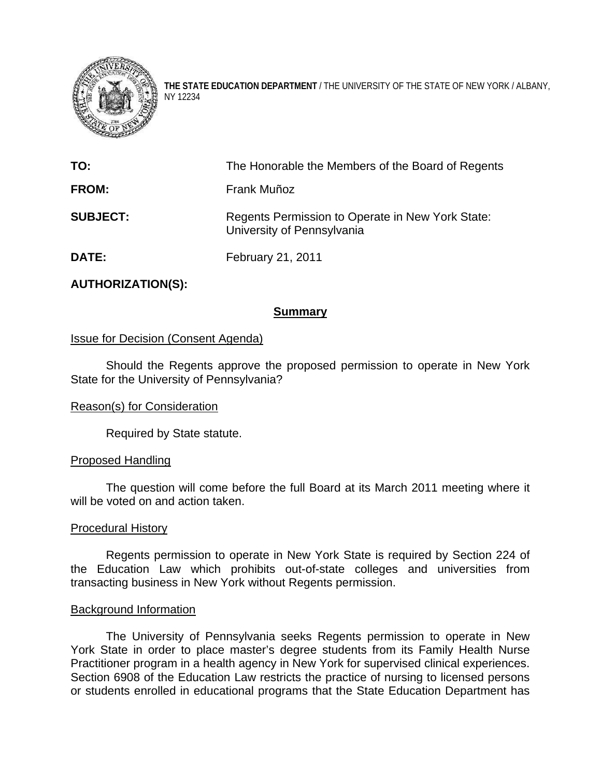

**THE STATE EDUCATION DEPARTMENT** / THE UNIVERSITY OF THE STATE OF NEW YORK / ALBANY, NY 12234

| TO:             | The Honorable the Members of the Board of Regents                              |
|-----------------|--------------------------------------------------------------------------------|
| <b>FROM:</b>    | Frank Muñoz                                                                    |
| <b>SUBJECT:</b> | Regents Permission to Operate in New York State:<br>University of Pennsylvania |
| <b>DATE:</b>    | February 21, 2011                                                              |

# **AUTHORIZATION(S):**

# **Summary**

# Issue for Decision (Consent Agenda)

Should the Regents approve the proposed permission to operate in New York State for the University of Pennsylvania?

### Reason(s) for Consideration

Required by State statute.

### Proposed Handling

The question will come before the full Board at its March 2011 meeting where it will be voted on and action taken.

#### Procedural History

Regents permission to operate in New York State is required by Section 224 of the Education Law which prohibits out-of-state colleges and universities from transacting business in New York without Regents permission.

#### Background Information

The University of Pennsylvania seeks Regents permission to operate in New York State in order to place master's degree students from its Family Health Nurse Practitioner program in a health agency in New York for supervised clinical experiences. Section 6908 of the Education Law restricts the practice of nursing to licensed persons or students enrolled in educational programs that the State Education Department has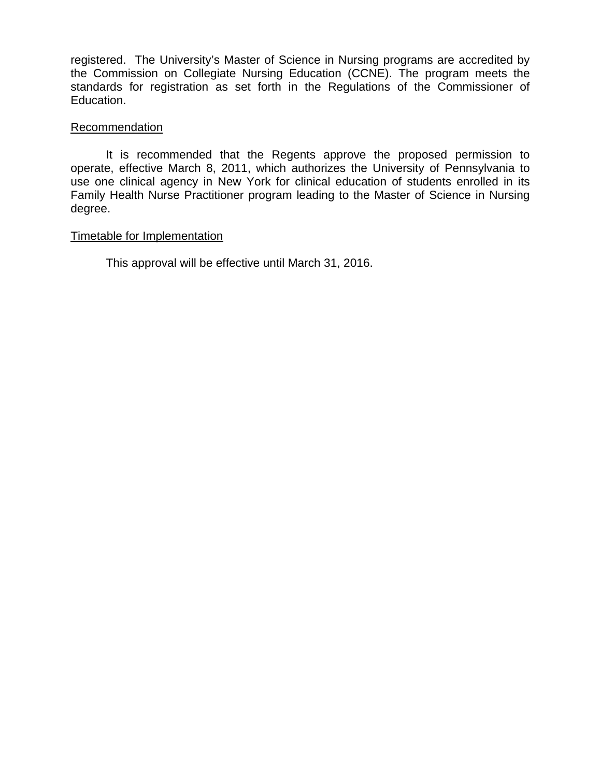registered. The University's Master of Science in Nursing programs are accredited by the Commission on Collegiate Nursing Education (CCNE). The program meets the standards for registration as set forth in the Regulations of the Commissioner of Education.

### **Recommendation**

It is recommended that the Regents approve the proposed permission to operate, effective March 8, 2011, which authorizes the University of Pennsylvania to use one clinical agency in New York for clinical education of students enrolled in its Family Health Nurse Practitioner program leading to the Master of Science in Nursing degree.

# Timetable for Implementation

This approval will be effective until March 31, 2016.